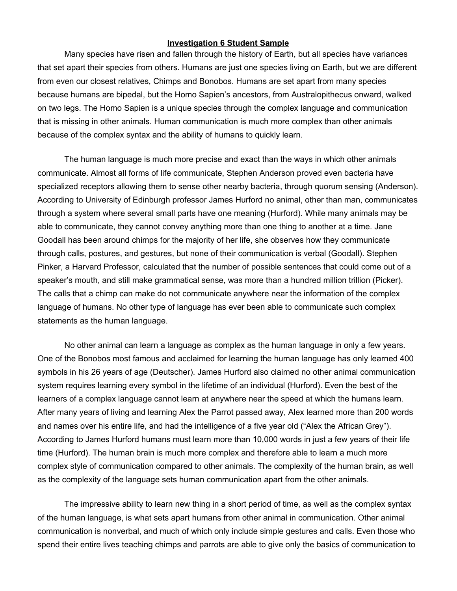## **Investigation 6 Student Sample**

Many species have risen and fallen through the history of Earth, but all species have variances that set apart their species from others. Humans are just one species living on Earth, but we are different from even our closest relatives, Chimps and Bonobos. Humans are set apart from many species because humans are bipedal, but the Homo Sapien's ancestors, from Australopithecus onward, walked on two legs. The Homo Sapien is a unique species through the complex language and communication that is missing in other animals. Human communication is much more complex than other animals because of the complex syntax and the ability of humans to quickly learn.

The human language is much more precise and exact than the ways in which other animals communicate. Almost all forms of life communicate, Stephen Anderson proved even bacteria have specialized receptors allowing them to sense other nearby bacteria, through quorum sensing (Anderson). According to University of Edinburgh professor James Hurford no animal, other than man, communicates through a system where several small parts have one meaning (Hurford). While many animals may be able to communicate, they cannot convey anything more than one thing to another at a time. Jane Goodall has been around chimps for the majority of her life, she observes how they communicate through calls, postures, and gestures, but none of their communication is verbal (Goodall). Stephen Pinker, a Harvard Professor, calculated that the number of possible sentences that could come out of a speaker's mouth, and still make grammatical sense, was more than a hundred million trillion (Picker). The calls that a chimp can make do not communicate anywhere near the information of the complex language of humans. No other type of language has ever been able to communicate such complex statements as the human language.

No other animal can learn a language as complex as the human language in only a few years. One of the Bonobos most famous and acclaimed for learning the human language has only learned 400 symbols in his 26 years of age (Deutscher). James Hurford also claimed no other animal communication system requires learning every symbol in the lifetime of an individual (Hurford). Even the best of the learners of a complex language cannot learn at anywhere near the speed at which the humans learn. After many years of living and learning Alex the Parrot passed away, Alex learned more than 200 words and names over his entire life, and had the intelligence of a five year old ("Alex the African Grey"). According to James Hurford humans must learn more than 10,000 words in just a few years of their life time (Hurford). The human brain is much more complex and therefore able to learn a much more complex style of communication compared to other animals. The complexity of the human brain, as well as the complexity of the language sets human communication apart from the other animals.

The impressive ability to learn new thing in a short period of time, as well as the complex syntax of the human language, is what sets apart humans from other animal in communication. Other animal communication is nonverbal, and much of which only include simple gestures and calls. Even those who spend their entire lives teaching chimps and parrots are able to give only the basics of communication to